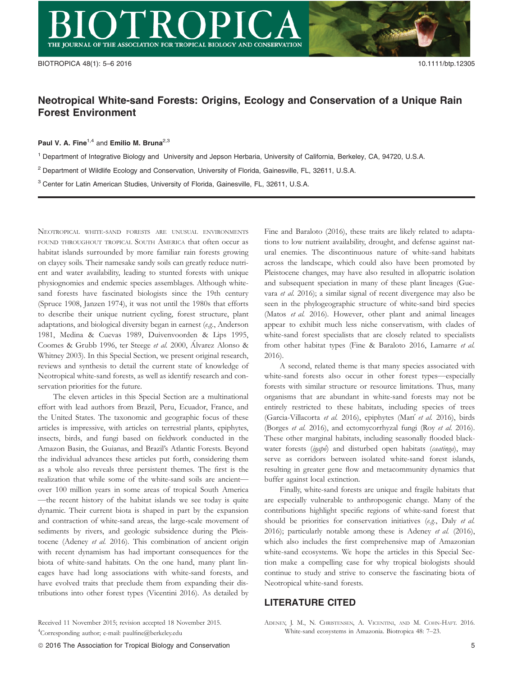## Neotropical White-sand Forests: Origins, Ecology and Conservation of a Unique Rain Forest Environment

Paul V. A. Fine<sup>1,4</sup> and Emilio M. Bruna<sup>2,3</sup>

<sup>1</sup> Department of Integrative Biology and University and Jepson Herbaria, University of California, Berkeley, CA, 94720, U.S.A.

<sup>2</sup> Department of Wildlife Ecology and Conservation, University of Florida, Gainesville, FL, 32611, U.S.A.

<sup>3</sup> Center for Latin American Studies, University of Florida, Gainesville, FL, 32611, U.S.A.

NEOTROPICAL WHITE-SAND FORESTS ARE UNUSUAL ENVIRONMENTS FOUND THROUGHOUT TROPICAL SOUTH AMERICA that often occur as habitat islands surrounded by more familiar rain forests growing on clayey soils. Their namesake sandy soils can greatly reduce nutrient and water availability, leading to stunted forests with unique physiognomies and endemic species assemblages. Although whitesand forests have fascinated biologists since the 19th century (Spruce 1908, Janzen 1974), it was not until the 1980s that efforts to describe their unique nutrient cycling, forest structure, plant adaptations, and biological diversity began in earnest (e.g., Anderson 1981, Medina & Cuevas 1989, Duivenvoorden & Lips 1995, Coomes & Grubb 1996, ter Steege et al. 2000, Alvarez Alonso & Whitney 2003). In this Special Section, we present original research, reviews and synthesis to detail the current state of knowledge of Neotropical white-sand forests, as well as identify research and conservation priorities for the future.

The eleven articles in this Special Section are a multinational effort with lead authors from Brazil, Peru, Ecuador, France, and the United States. The taxonomic and geographic focus of these articles is impressive, with articles on terrestrial plants, epiphytes, insects, birds, and fungi based on fieldwork conducted in the Amazon Basin, the Guianas, and Brazil's Atlantic Forests. Beyond the individual advances these articles put forth, considering them as a whole also reveals three persistent themes. The first is the realization that while some of the white-sand soils are ancient over 100 million years in some areas of tropical South America —the recent history of the habitat islands we see today is quite dynamic. Their current biota is shaped in part by the expansion and contraction of white-sand areas, the large-scale movement of sediments by rivers, and geologic subsidence during the Pleistocene (Adeney et al. 2016). This combination of ancient origin with recent dynamism has had important consequences for the biota of white-sand habitats. On the one hand, many plant lineages have had long associations with white-sand forests, and have evolved traits that preclude them from expanding their distributions into other forest types (Vicentini 2016). As detailed by

4 Corresponding author; e-mail: paulfine@berkeley.edu

Fine and Baraloto (2016), these traits are likely related to adaptations to low nutrient availability, drought, and defense against natural enemies. The discontinuous nature of white-sand habitats across the landscape, which could also have been promoted by Pleistocene changes, may have also resulted in allopatric isolation and subsequent speciation in many of these plant lineages (Guevara et al. 2016); a similar signal of recent divergence may also be seen in the phylogeographic structure of white-sand bird species (Matos et al. 2016). However, other plant and animal lineages appear to exhibit much less niche conservatism, with clades of white-sand forest specialists that are closely related to specialists from other habitat types (Fine & Baraloto 2016, Lamarre et al. 2016).

A second, related theme is that many species associated with white-sand forests also occur in other forest types—especially forests with similar structure or resource limitations. Thus, many organisms that are abundant in white-sand forests may not be entirely restricted to these habitats, including species of trees (Garcia-Villacorta et al. 2016), epiphytes (Marí et al. 2016), birds (Borges et al. 2016), and ectomycorrhyzal fungi (Roy et al. 2016). These other marginal habitats, including seasonally flooded blackwater forests (igapó) and disturbed open habitats (caatinga), may serve as corridors between isolated white-sand forest islands, resulting in greater gene flow and metacommunity dynamics that buffer against local extinction.

Finally, white-sand forests are unique and fragile habitats that are especially vulnerable to anthropogenic change. Many of the contributions highlight specific regions of white-sand forest that should be priorities for conservation initiatives (e.g., Daly et al. 2016); particularly notable among these is Adeney et al.  $(2016)$ , which also includes the first comprehensive map of Amazonian white-sand ecosystems. We hope the articles in this Special Section make a compelling case for why tropical biologists should continue to study and strive to conserve the fascinating biota of Neotropical white-sand forests.

## LITERATURE CITED

ADENEY, J. M., N. CHRISTENSEN, A. VICENTINI, AND M. COHN-HAFT. 2016. White-sand ecosystems in Amazonia. Biotropica 48: 7–23.

Received 11 November 2015; revision accepted 18 November 2015.

ª 2016 The Association for Tropical Biology and Conservation 5